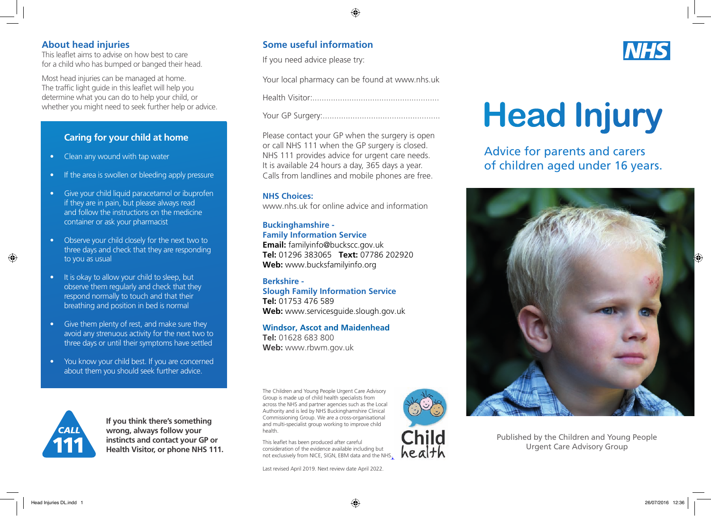### **About head injuries**

This leaflet aims to advise on how best to care for a child who has bumped or banged their head.

Most head injuries can be managed at home. The traffic light guide in this leaflet will help you determine what you can do to help your child, or whether you might need to seek further help or advice.

## **Caring for your child at home**

- Clean any wound with tap water
- If the area is swollen or bleeding apply pressure
- Give your child liquid paracetamol or ibuprofen if they are in pain, but please always read and follow the instructions on the medicine container or ask your pharmacist
- Observe your child closely for the next two to three days and check that they are responding to you as usual
- It is okay to allow your child to sleep, but observe them regularly and check that they respond normally to touch and that their breathing and position in bed is normal
- Give them plenty of rest, and make sure they avoid any strenuous activity for the next two to three days or until their symptoms have settled
- You know your child best. If you are concerned about them you should seek further advice.



**If you think there's something wrong, always follow your instincts and contact your GP or Health Visitor, or phone NHS 111.**

## **Some useful information**

If you need advice please try:

Your local pharmacy can be found at www.nhs.uk

Health Visitor:.......................................................

Your GP Surgery:...................................................

Please contact your GP when the surgery is open or call NHS 111 when the GP surgery is closed. NHS 111 provides advice for urgent care needs. It is available 24 hours a day, 365 days a year. Calls from landlines and mobile phones are free.

#### **NHS Choices:**

www.nhs.uk for online advice and information

#### **Buckinghamshire - Family Information Service**

**Email:** familyinfo@buckscc.gov.uk **Tel:** 01296 383065 **Text:** 07786 202920 **Web:** www.bucksfamilyinfo.org

**Berkshire - Slough Family Information Service Tel:** 01753 476 589 **Web:** www.servicesguide.slough.gov.uk

**Windsor, Ascot and Maidenhead Tel:** 01628 683 800 **Web:** www.rbwm.gov.uk

The Children and Young People Urgent Care Advisory Group is made up of child health specialists from across the NHS and partner agencies such as the Local Authority and is led by NHS Buckinghamshire Clinical Commissioning Group. We are a cross-organisational and multi-specialist group working to improve child health.

This leaflet has been produced after careful consideration of the evidence available including but not exclusively from NICE, SIGN, EBM data and the NHS.

Last revised April 2019. Next review date April 2022.



# **Head Injury**

Advice for parents and carers of children aged under 16 years.



Published by the Children and Young People Urgent Care Advisory Group